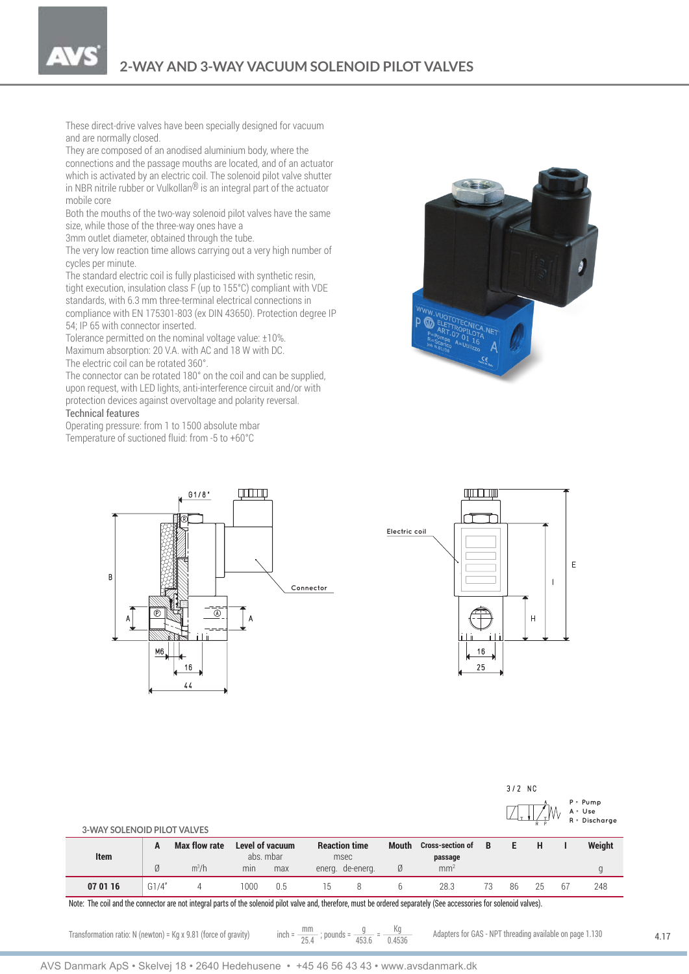**2-WAY AND 3-WAY VACUUM SOLENOID PILOT VALVES**

These direct-drive valves have been specially designed for vacuum and are normally closed.

They are composed of an anodised aluminium body, where the connections and the passage mouths are located, and of an actuator which is activated by an electric coil. The solenoid pilot valve shutter in NBR nitrile rubber or Vulkollan<sup>®</sup> is an integral part of the actuator mobile core

Both the mouths of the two-way solenoid pilot valves have the same size, while those of the three-way ones have a

3mm outlet diameter, obtained through the tube.

The very low reaction time allows carrying out a very high number of cycles per minute.

The standard electric coil is fully plasticised with synthetic resin, tight execution, insulation class F (up to 155°C) compliant with VDE standards, with 6.3 mm three-terminal electrical connections in compliance with EN 175301-803 (ex DIN 43650). Protection degree IP 54; IP 65 with connector inserted.

Tolerance permitted on the nominal voltage value: ±10%. Maximum absorption: 20 V.A. with AC and 18 W with DC. The electric coil can be rotated 360°.

The connector can be rotated 180° on the coil and can be supplied, upon request, with LED lights, anti-interference circuit and/or with protection devices against overvoltage and polarity reversal.

## Technical features

Operating pressure: from 1 to 1500 absolute mbar Temperature of suctioned fluid: from -5 to +60°C







| 3-WAY SOLENOID PILOT VALVES |        |                                 |                                            |     |                                                  |   |                   |                                                       |    |    |    |    | $P = Pump$<br>$A = Use$<br>R = Discharge |
|-----------------------------|--------|---------------------------------|--------------------------------------------|-----|--------------------------------------------------|---|-------------------|-------------------------------------------------------|----|----|----|----|------------------------------------------|
| Item                        | A<br>Ø | <b>Max flow rate</b><br>$m^3/h$ | Level of vacuum<br>abs. mbar<br>min<br>max |     | <b>Reaction time</b><br>msec<br>energ. de-energ. |   | <b>Mouth</b><br>Ø | <b>Cross-section of</b><br>passage<br>mm <sup>2</sup> | B  | E  | H  |    | Weight                                   |
| 07 01 16                    | G1/4"  | 4                               | 1000                                       | 0.5 | 15                                               | 8 | b.                | 28.3                                                  | 73 | 86 | 25 | 67 | 248                                      |

Note: The coil and the connector are not integral parts of the solenoid pilot valve and, therefore, must be ordered separately (See accessories for solenoid valves).

 $3/2$  NC